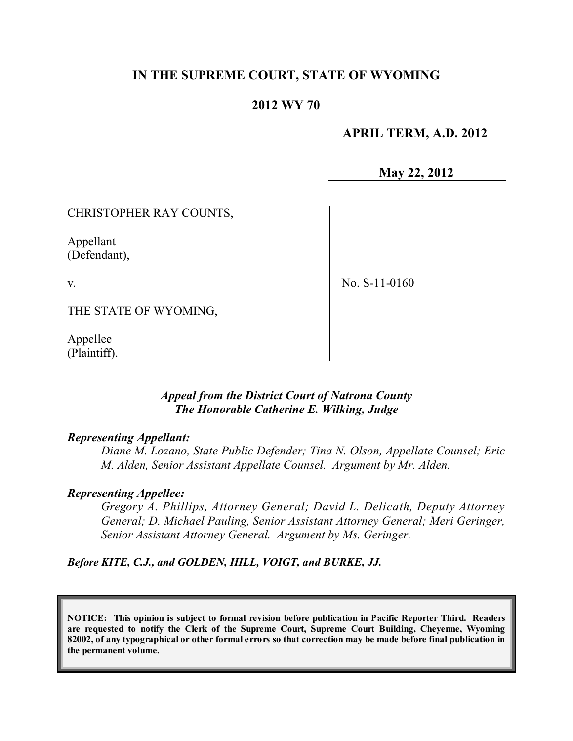### **IN THE SUPREME COURT, STATE OF WYOMING**

### **2012 WY 70**

#### **APRIL TERM, A.D. 2012**

**May 22, 2012**

#### CHRISTOPHER RAY COUNTS,

Appellant (Defendant),

v.

No. S-11-0160

THE STATE OF WYOMING,

Appellee (Plaintiff).

#### *Appeal from the District Court of Natrona County The Honorable Catherine E. Wilking, Judge*

#### *Representing Appellant:*

*Diane M. Lozano, State Public Defender; Tina N. Olson, Appellate Counsel; Eric M. Alden, Senior Assistant Appellate Counsel. Argument by Mr. Alden.*

#### *Representing Appellee:*

*Gregory A. Phillips, Attorney General; David L. Delicath, Deputy Attorney General; D. Michael Pauling, Senior Assistant Attorney General; Meri Geringer, Senior Assistant Attorney General. Argument by Ms. Geringer.*

*Before KITE, C.J., and GOLDEN, HILL, VOIGT, and BURKE, JJ.*

**NOTICE: This opinion is subject to formal revision before publication in Pacific Reporter Third. Readers are requested to notify the Clerk of the Supreme Court, Supreme Court Building, Cheyenne, Wyoming** 82002, of any typographical or other formal errors so that correction may be made before final publication in **the permanent volume.**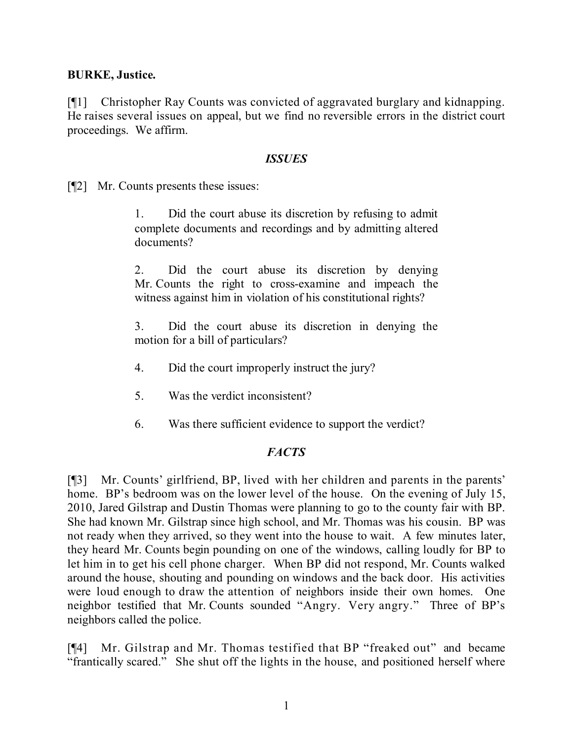#### **BURKE, Justice.**

[¶1] Christopher Ray Counts was convicted of aggravated burglary and kidnapping. He raises several issues on appeal, but we find no reversible errors in the district court proceedings. We affirm.

#### *ISSUES*

[¶2] Mr. Counts presents these issues:

1. Did the court abuse its discretion by refusing to admit complete documents and recordings and by admitting altered documents?

2. Did the court abuse its discretion by denying Mr. Counts the right to cross-examine and impeach the witness against him in violation of his constitutional rights?

3. Did the court abuse its discretion in denying the motion for a bill of particulars?

- 4. Did the court improperly instruct the jury?
- 5. Was the verdict inconsistent?
- 6. Was there sufficient evidence to support the verdict?

### *FACTS*

[¶3] Mr. Counts' girlfriend, BP, lived with her children and parents in the parents' home. BP's bedroom was on the lower level of the house. On the evening of July 15, 2010, Jared Gilstrap and Dustin Thomas were planning to go to the county fair with BP. She had known Mr. Gilstrap since high school, and Mr. Thomas was his cousin. BP was not ready when they arrived, so they went into the house to wait. A few minutes later, they heard Mr. Counts begin pounding on one of the windows, calling loudly for BP to let him in to get his cell phone charger. When BP did not respond, Mr. Counts walked around the house, shouting and pounding on windows and the back door. His activities were loud enough to draw the attention of neighbors inside their own homes. One neighbor testified that Mr. Counts sounded "Angry. Very angry." Three of BP's neighbors called the police.

[¶4] Mr. Gilstrap and Mr. Thomas testified that BP "freaked out" and became "frantically scared." She shut off the lights in the house, and positioned herself where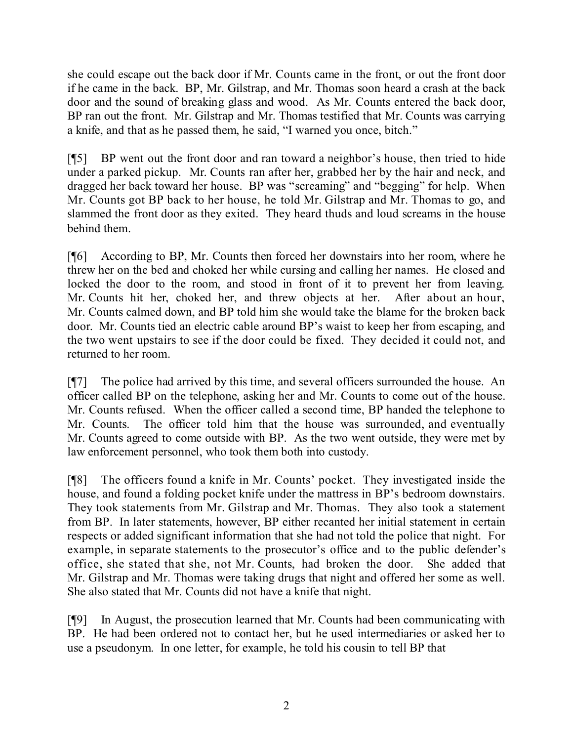she could escape out the back door if Mr. Counts came in the front, or out the front door if he came in the back. BP, Mr. Gilstrap, and Mr. Thomas soon heard a crash at the back door and the sound of breaking glass and wood. As Mr. Counts entered the back door, BP ran out the front. Mr. Gilstrap and Mr. Thomas testified that Mr. Counts was carrying a knife, and that as he passed them, he said, "I warned you once, bitch."

[¶5] BP went out the front door and ran toward a neighbor's house, then tried to hide under a parked pickup. Mr. Counts ran after her, grabbed her by the hair and neck, and dragged her back toward her house. BP was "screaming" and "begging" for help. When Mr. Counts got BP back to her house, he told Mr. Gilstrap and Mr. Thomas to go, and slammed the front door as they exited. They heard thuds and loud screams in the house behind them.

[¶6] According to BP, Mr. Counts then forced her downstairs into her room, where he threw her on the bed and choked her while cursing and calling her names. He closed and locked the door to the room, and stood in front of it to prevent her from leaving. Mr. Counts hit her, choked her, and threw objects at her. After about an hour, Mr. Counts calmed down, and BP told him she would take the blame for the broken back door. Mr. Counts tied an electric cable around BP's waist to keep her from escaping, and the two went upstairs to see if the door could be fixed. They decided it could not, and returned to her room.

[¶7] The police had arrived by this time, and several officers surrounded the house. An officer called BP on the telephone, asking her and Mr. Counts to come out of the house. Mr. Counts refused. When the officer called a second time, BP handed the telephone to Mr. Counts. The officer told him that the house was surrounded, and eventually Mr. Counts agreed to come outside with BP. As the two went outside, they were met by law enforcement personnel, who took them both into custody.

[¶8] The officers found a knife in Mr. Counts' pocket. They investigated inside the house, and found a folding pocket knife under the mattress in BP's bedroom downstairs. They took statements from Mr. Gilstrap and Mr. Thomas. They also took a statement from BP. In later statements, however, BP either recanted her initial statement in certain respects or added significant information that she had not told the police that night. For example, in separate statements to the prosecutor's office and to the public defender's office, she stated that she, not Mr. Counts, had broken the door. She added that Mr. Gilstrap and Mr. Thomas were taking drugs that night and offered her some as well. She also stated that Mr. Counts did not have a knife that night.

[¶9] In August, the prosecution learned that Mr. Counts had been communicating with BP. He had been ordered not to contact her, but he used intermediaries or asked her to use a pseudonym. In one letter, for example, he told his cousin to tell BP that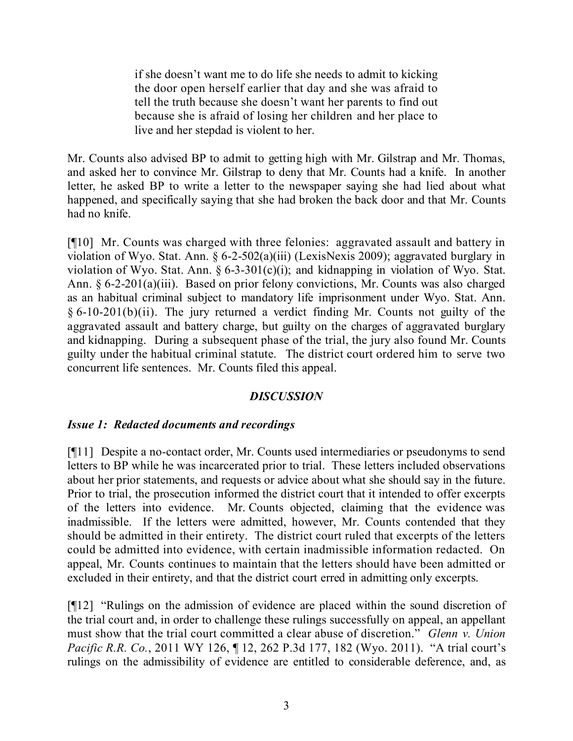if she doesn't want me to do life she needs to admit to kicking the door open herself earlier that day and she was afraid to tell the truth because she doesn't want her parents to find out because she is afraid of losing her children and her place to live and her stepdad is violent to her.

Mr. Counts also advised BP to admit to getting high with Mr. Gilstrap and Mr. Thomas, and asked her to convince Mr. Gilstrap to deny that Mr. Counts had a knife. In another letter, he asked BP to write a letter to the newspaper saying she had lied about what happened, and specifically saying that she had broken the back door and that Mr. Counts had no knife.

[¶10] Mr. Counts was charged with three felonies: aggravated assault and battery in violation of Wyo. Stat. Ann. § 6-2-502(a)(iii) (LexisNexis 2009); aggravated burglary in violation of Wyo. Stat. Ann.  $\S 6$ -3-301(c)(i); and kidnapping in violation of Wyo. Stat. Ann. § 6-2-201(a)(iii). Based on prior felony convictions, Mr. Counts was also charged as an habitual criminal subject to mandatory life imprisonment under Wyo. Stat. Ann. § 6-10-201(b)(ii). The jury returned a verdict finding Mr. Counts not guilty of the aggravated assault and battery charge, but guilty on the charges of aggravated burglary and kidnapping. During a subsequent phase of the trial, the jury also found Mr. Counts guilty under the habitual criminal statute. The district court ordered him to serve two concurrent life sentences. Mr. Counts filed this appeal.

### *DISCUSSION*

### *Issue 1: Redacted documents and recordings*

[¶11] Despite a no-contact order, Mr. Counts used intermediaries or pseudonyms to send letters to BP while he was incarcerated prior to trial. These letters included observations about her prior statements, and requests or advice about what she should say in the future. Prior to trial, the prosecution informed the district court that it intended to offer excerpts of the letters into evidence. Mr. Counts objected, claiming that the evidence was inadmissible. If the letters were admitted, however, Mr. Counts contended that they should be admitted in their entirety. The district court ruled that excerpts of the letters could be admitted into evidence, with certain inadmissible information redacted. On appeal, Mr. Counts continues to maintain that the letters should have been admitted or excluded in their entirety, and that the district court erred in admitting only excerpts.

[¶12] "Rulings on the admission of evidence are placed within the sound discretion of the trial court and, in order to challenge these rulings successfully on appeal, an appellant must show that the trial court committed a clear abuse of discretion." *Glenn v. Union Pacific R.R. Co.*, 2011 WY 126,  $\P$  12, 262 P.3d 177, 182 (Wyo. 2011). "A trial court's rulings on the admissibility of evidence are entitled to considerable deference, and, as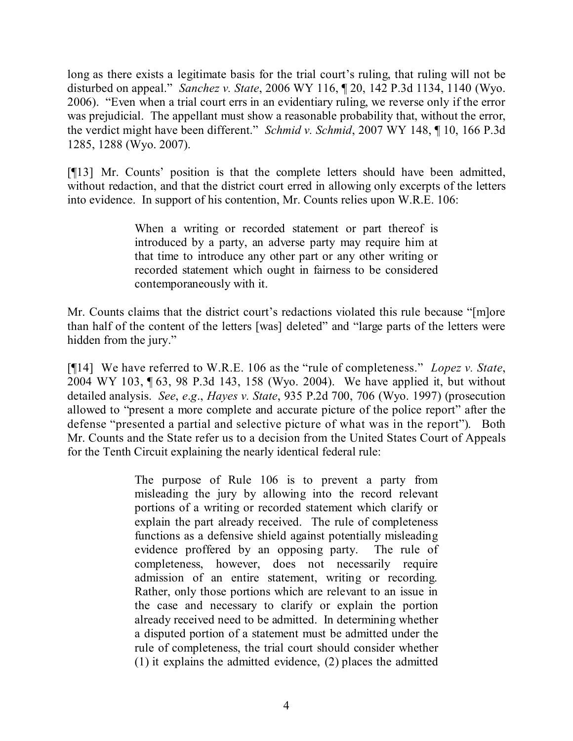long as there exists a legitimate basis for the trial court's ruling, that ruling will not be disturbed on appeal." *Sanchez v. State*, 2006 WY 116, ¶ 20, 142 P.3d 1134, 1140 (Wyo. 2006). "Even when a trial court errs in an evidentiary ruling, we reverse only if the error was prejudicial. The appellant must show a reasonable probability that, without the error, the verdict might have been different." *Schmid v. Schmid*, 2007 WY 148, ¶ 10, 166 P.3d 1285, 1288 (Wyo. 2007).

[¶13] Mr. Counts' position is that the complete letters should have been admitted, without redaction, and that the district court erred in allowing only excerpts of the letters into evidence. In support of his contention, Mr. Counts relies upon W.R.E. 106:

> When a writing or recorded statement or part thereof is introduced by a party, an adverse party may require him at that time to introduce any other part or any other writing or recorded statement which ought in fairness to be considered contemporaneously with it.

Mr. Counts claims that the district court's redactions violated this rule because "[m]ore than half of the content of the letters [was] deleted" and "large parts of the letters were hidden from the jury."

[¶14] We have referred to W.R.E. 106 as the "rule of completeness." *Lopez v. State*, 2004 WY 103, ¶ 63, 98 P.3d 143, 158 (Wyo. 2004). We have applied it, but without detailed analysis. *See*, *e*.*g*., *Hayes v. State*, 935 P.2d 700, 706 (Wyo. 1997) (prosecution allowed to "present a more complete and accurate picture of the police report" after the defense "presented a partial and selective picture of what was in the report"). Both Mr. Counts and the State refer us to a decision from the United States Court of Appeals for the Tenth Circuit explaining the nearly identical federal rule:

> The purpose of Rule 106 is to prevent a party from misleading the jury by allowing into the record relevant portions of a writing or recorded statement which clarify or explain the part already received. The rule of completeness functions as a defensive shield against potentially misleading evidence proffered by an opposing party. The rule of completeness, however, does not necessarily require admission of an entire statement, writing or recording. Rather, only those portions which are relevant to an issue in the case and necessary to clarify or explain the portion already received need to be admitted. In determining whether a disputed portion of a statement must be admitted under the rule of completeness, the trial court should consider whether (1) it explains the admitted evidence, (2) places the admitted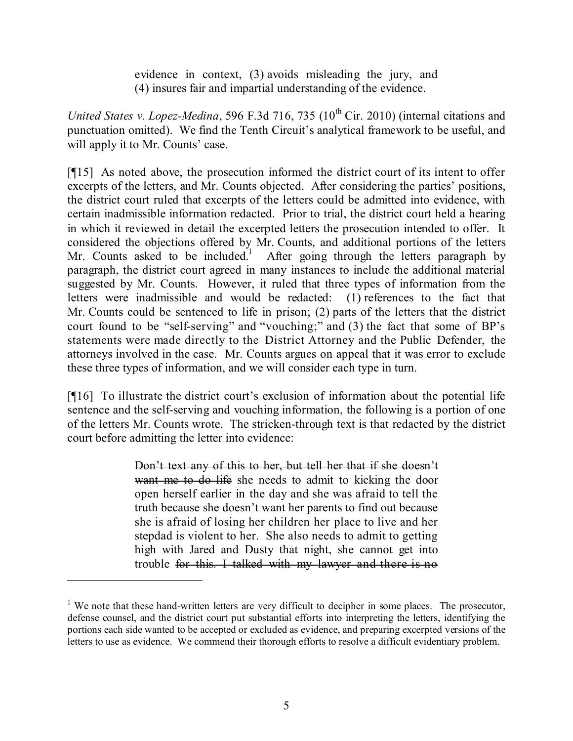evidence in context, (3) avoids misleading the jury, and (4) insures fair and impartial understanding of the evidence.

United States v. Lopez-Medina, 596 F.3d 716, 735 (10<sup>th</sup> Cir. 2010) (internal citations and punctuation omitted). We find the Tenth Circuit's analytical framework to be useful, and will apply it to Mr. Counts' case.

[¶15] As noted above, the prosecution informed the district court of its intent to offer excerpts of the letters, and Mr. Counts objected. After considering the parties' positions, the district court ruled that excerpts of the letters could be admitted into evidence, with certain inadmissible information redacted. Prior to trial, the district court held a hearing in which it reviewed in detail the excerpted letters the prosecution intended to offer. It considered the objections offered by Mr. Counts, and additional portions of the letters Mr. Counts asked to be included.<sup>1</sup> After going through the letters paragraph by paragraph, the district court agreed in many instances to include the additional material suggested by Mr. Counts. However, it ruled that three types of information from the letters were inadmissible and would be redacted: (1) references to the fact that Mr. Counts could be sentenced to life in prison; (2) parts of the letters that the district court found to be "self-serving" and "vouching;" and (3) the fact that some of BP's statements were made directly to the District Attorney and the Public Defender, the attorneys involved in the case. Mr. Counts argues on appeal that it was error to exclude these three types of information, and we will consider each type in turn.

[¶16] To illustrate the district court's exclusion of information about the potential life sentence and the self-serving and vouching information, the following is a portion of one of the letters Mr. Counts wrote. The stricken-through text is that redacted by the district court before admitting the letter into evidence:

> Don't text any of this to her, but tell her that if she doesn't want me to do life she needs to admit to kicking the door open herself earlier in the day and she was afraid to tell the truth because she doesn't want her parents to find out because she is afraid of losing her children her place to live and her stepdad is violent to her. She also needs to admit to getting high with Jared and Dusty that night, she cannot get into trouble for this. I talked with my lawyer and there is no

 $<sup>1</sup>$  We note that these hand-written letters are very difficult to decipher in some places. The prosecutor,</sup> defense counsel, and the district court put substantial efforts into interpreting the letters, identifying the portions each side wanted to be accepted or excluded as evidence, and preparing excerpted versions of the letters to use as evidence. We commend their thorough efforts to resolve a difficult evidentiary problem.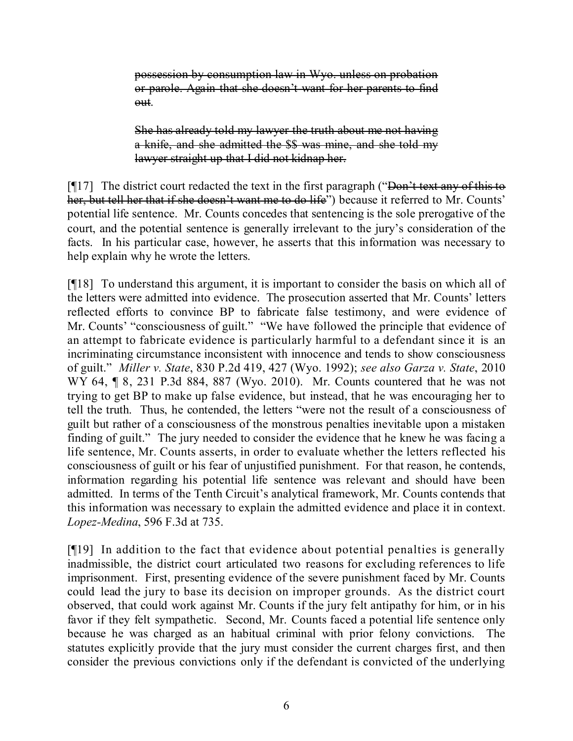possession by consumption law in Wyo. unless on probation or parole. Again that she doesn't want for her parents to find out.

She has already told my lawyer the truth about me not having a knife, and she admitted the \$\$ was mine, and she told my lawyer straight up that I did not kidnap her.

 $\lceil \cdot \cdot \rceil$  The district court redacted the text in the first paragraph ("Don't text any of this to her, but tell her that if she doesn't want me to do life") because it referred to Mr. Counts' potential life sentence. Mr. Counts concedes that sentencing is the sole prerogative of the court, and the potential sentence is generally irrelevant to the jury's consideration of the facts. In his particular case, however, he asserts that this information was necessary to help explain why he wrote the letters.

[¶18] To understand this argument, it is important to consider the basis on which all of the letters were admitted into evidence. The prosecution asserted that Mr. Counts' letters reflected efforts to convince BP to fabricate false testimony, and were evidence of Mr. Counts' "consciousness of guilt." "We have followed the principle that evidence of an attempt to fabricate evidence is particularly harmful to a defendant since it is an incriminating circumstance inconsistent with innocence and tends to show consciousness of guilt." *Miller v. State*, 830 P.2d 419, 427 (Wyo. 1992); *see also Garza v. State*, 2010 WY 64, **[8, 231 P.3d 884, 887 (Wyo. 2010).** Mr. Counts countered that he was not trying to get BP to make up false evidence, but instead, that he was encouraging her to tell the truth. Thus, he contended, the letters "were not the result of a consciousness of guilt but rather of a consciousness of the monstrous penalties inevitable upon a mistaken finding of guilt." The jury needed to consider the evidence that he knew he was facing a life sentence, Mr. Counts asserts, in order to evaluate whether the letters reflected his consciousness of guilt or his fear of unjustified punishment. For that reason, he contends, information regarding his potential life sentence was relevant and should have been admitted. In terms of the Tenth Circuit's analytical framework, Mr. Counts contends that this information was necessary to explain the admitted evidence and place it in context. *Lopez-Medina*, 596 F.3d at 735.

[¶19] In addition to the fact that evidence about potential penalties is generally inadmissible, the district court articulated two reasons for excluding references to life imprisonment. First, presenting evidence of the severe punishment faced by Mr. Counts could lead the jury to base its decision on improper grounds. As the district court observed, that could work against Mr. Counts if the jury felt antipathy for him, or in his favor if they felt sympathetic. Second, Mr. Counts faced a potential life sentence only because he was charged as an habitual criminal with prior felony convictions. The statutes explicitly provide that the jury must consider the current charges first, and then consider the previous convictions only if the defendant is convicted of the underlying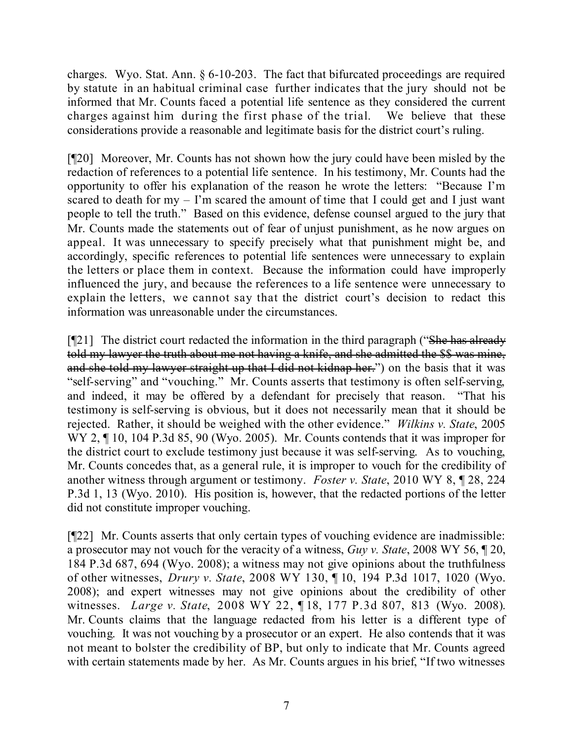charges. Wyo. Stat. Ann. § 6-10-203. The fact that bifurcated proceedings are required by statute in an habitual criminal case further indicates that the jury should not be informed that Mr. Counts faced a potential life sentence as they considered the current charges against him during the first phase of the trial. We believe that these considerations provide a reasonable and legitimate basis for the district court's ruling.

[¶20] Moreover, Mr. Counts has not shown how the jury could have been misled by the redaction of references to a potential life sentence. In his testimony, Mr. Counts had the opportunity to offer his explanation of the reason he wrote the letters: "Because I'm scared to death for  $my - I'm$  scared the amount of time that I could get and I just want people to tell the truth." Based on this evidence, defense counsel argued to the jury that Mr. Counts made the statements out of fear of unjust punishment, as he now argues on appeal. It was unnecessary to specify precisely what that punishment might be, and accordingly, specific references to potential life sentences were unnecessary to explain the letters or place them in context. Because the information could have improperly influenced the jury, and because the references to a life sentence were unnecessary to explain the letters, we cannot say that the district court's decision to redact this information was unreasonable under the circumstances.

 $[921]$  The district court redacted the information in the third paragraph ("She has already" told my lawyer the truth about me not having a knife, and she admitted the \$\$ was mine, and she told my lawyer straight up that I did not kidnap her.") on the basis that it was "self-serving" and "vouching." Mr. Counts asserts that testimony is often self-serving, and indeed, it may be offered by a defendant for precisely that reason. "That his testimony is self-serving is obvious, but it does not necessarily mean that it should be rejected. Rather, it should be weighed with the other evidence." *Wilkins v. State*, 2005 WY 2,  $\P$  10, 104 P.3d 85, 90 (Wyo. 2005). Mr. Counts contends that it was improper for the district court to exclude testimony just because it was self-serving. As to vouching, Mr. Counts concedes that, as a general rule, it is improper to vouch for the credibility of another witness through argument or testimony. *Foster v. State*, 2010 WY 8, ¶ 28, 224 P.3d 1, 13 (Wyo. 2010). His position is, however, that the redacted portions of the letter did not constitute improper vouching.

[¶22] Mr. Counts asserts that only certain types of vouching evidence are inadmissible: a prosecutor may not vouch for the veracity of a witness, *Guy v. State*, 2008 WY 56, ¶ 20, 184 P.3d 687, 694 (Wyo. 2008); a witness may not give opinions about the truthfulness of other witnesses, *Drury v. State*, 2008 WY 130, ¶ 10, 194 P.3d 1017, 1020 (Wyo. 2008); and expert witnesses may not give opinions about the credibility of other witnesses. *Large v. State*, 2008 WY 22, ¶ 18, 177 P.3d 807, 813 (Wyo. 2008). Mr. Counts claims that the language redacted from his letter is a different type of vouching. It was not vouching by a prosecutor or an expert. He also contends that it was not meant to bolster the credibility of BP, but only to indicate that Mr. Counts agreed with certain statements made by her. As Mr. Counts argues in his brief, "If two witnesses"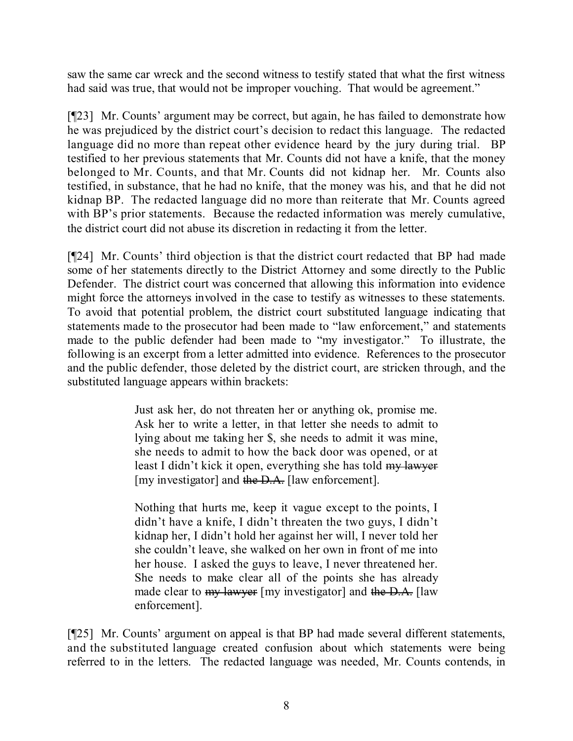saw the same car wreck and the second witness to testify stated that what the first witness had said was true, that would not be improper vouching. That would be agreement."

[¶23] Mr. Counts' argument may be correct, but again, he has failed to demonstrate how he was prejudiced by the district court's decision to redact this language. The redacted language did no more than repeat other evidence heard by the jury during trial. BP testified to her previous statements that Mr. Counts did not have a knife, that the money belonged to Mr. Counts, and that Mr. Counts did not kidnap her. Mr. Counts also testified, in substance, that he had no knife, that the money was his, and that he did not kidnap BP. The redacted language did no more than reiterate that Mr. Counts agreed with BP's prior statements. Because the redacted information was merely cumulative, the district court did not abuse its discretion in redacting it from the letter.

[¶24] Mr. Counts' third objection is that the district court redacted that BP had made some of her statements directly to the District Attorney and some directly to the Public Defender. The district court was concerned that allowing this information into evidence might force the attorneys involved in the case to testify as witnesses to these statements. To avoid that potential problem, the district court substituted language indicating that statements made to the prosecutor had been made to "law enforcement," and statements made to the public defender had been made to "my investigator." To illustrate, the following is an excerpt from a letter admitted into evidence. References to the prosecutor and the public defender, those deleted by the district court, are stricken through, and the substituted language appears within brackets:

> Just ask her, do not threaten her or anything ok, promise me. Ask her to write a letter, in that letter she needs to admit to lying about me taking her \$, she needs to admit it was mine, she needs to admit to how the back door was opened, or at least I didn't kick it open, everything she has told my lawyer [my investigator] and the D.A. [law enforcement].

> Nothing that hurts me, keep it vague except to the points, I didn't have a knife, I didn't threaten the two guys, I didn't kidnap her, I didn't hold her against her will, I never told her she couldn't leave, she walked on her own in front of me into her house. I asked the guys to leave, I never threatened her. She needs to make clear all of the points she has already made clear to <del>my lawyer</del> [my investigator] and the D.A. [law enforcement].

[¶25] Mr. Counts' argument on appeal is that BP had made several different statements, and the substituted language created confusion about which statements were being referred to in the letters. The redacted language was needed, Mr. Counts contends, in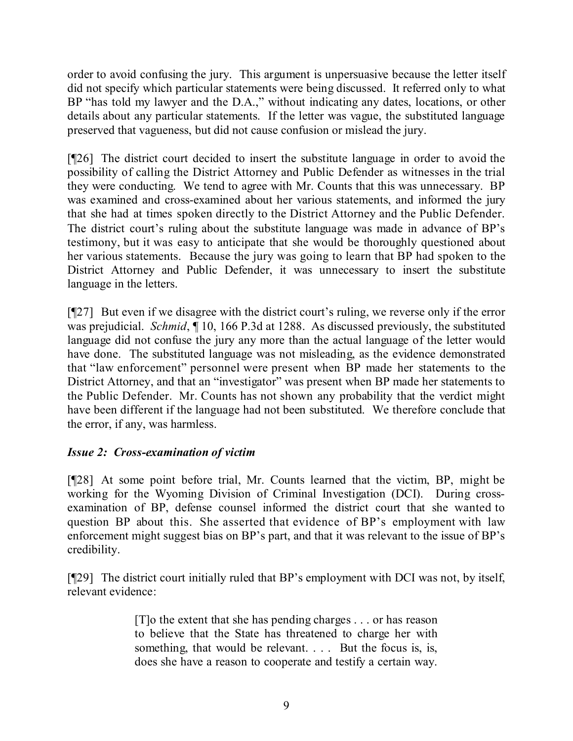order to avoid confusing the jury. This argument is unpersuasive because the letter itself did not specify which particular statements were being discussed. It referred only to what BP "has told my lawyer and the D.A.," without indicating any dates, locations, or other details about any particular statements. If the letter was vague, the substituted language preserved that vagueness, but did not cause confusion or mislead the jury.

[¶26] The district court decided to insert the substitute language in order to avoid the possibility of calling the District Attorney and Public Defender as witnesses in the trial they were conducting. We tend to agree with Mr. Counts that this was unnecessary. BP was examined and cross-examined about her various statements, and informed the jury that she had at times spoken directly to the District Attorney and the Public Defender. The district court's ruling about the substitute language was made in advance of BP's testimony, but it was easy to anticipate that she would be thoroughly questioned about her various statements. Because the jury was going to learn that BP had spoken to the District Attorney and Public Defender, it was unnecessary to insert the substitute language in the letters.

[¶27] But even if we disagree with the district court's ruling, we reverse only if the error was prejudicial. *Schmid*, ¶ 10, 166 P.3d at 1288. As discussed previously, the substituted language did not confuse the jury any more than the actual language of the letter would have done. The substituted language was not misleading, as the evidence demonstrated that "law enforcement" personnel were present when BP made her statements to the District Attorney, and that an "investigator" was present when BP made her statements to the Public Defender. Mr. Counts has not shown any probability that the verdict might have been different if the language had not been substituted. We therefore conclude that the error, if any, was harmless.

## *Issue 2: Cross-examination of victim*

[¶28] At some point before trial, Mr. Counts learned that the victim, BP, might be working for the Wyoming Division of Criminal Investigation (DCI). During crossexamination of BP, defense counsel informed the district court that she wanted to question BP about this. She asserted that evidence of BP's employment with law enforcement might suggest bias on BP's part, and that it was relevant to the issue of BP's credibility.

[¶29] The district court initially ruled that BP's employment with DCI was not, by itself, relevant evidence:

> [T]o the extent that she has pending charges . . . or has reason to believe that the State has threatened to charge her with something, that would be relevant. . . . But the focus is, is, does she have a reason to cooperate and testify a certain way.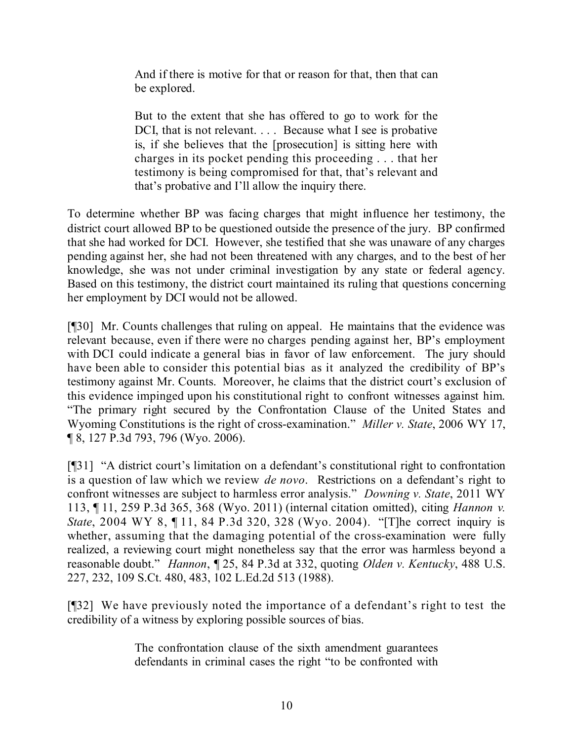And if there is motive for that or reason for that, then that can be explored.

But to the extent that she has offered to go to work for the DCI, that is not relevant. . . . Because what I see is probative is, if she believes that the [prosecution] is sitting here with charges in its pocket pending this proceeding . . . that her testimony is being compromised for that, that's relevant and that's probative and I'll allow the inquiry there.

To determine whether BP was facing charges that might influence her testimony, the district court allowed BP to be questioned outside the presence of the jury. BP confirmed that she had worked for DCI. However, she testified that she was unaware of any charges pending against her, she had not been threatened with any charges, and to the best of her knowledge, she was not under criminal investigation by any state or federal agency. Based on this testimony, the district court maintained its ruling that questions concerning her employment by DCI would not be allowed.

[¶30] Mr. Counts challenges that ruling on appeal. He maintains that the evidence was relevant because, even if there were no charges pending against her, BP's employment with DCI could indicate a general bias in favor of law enforcement. The jury should have been able to consider this potential bias as it analyzed the credibility of BP's testimony against Mr. Counts. Moreover, he claims that the district court's exclusion of this evidence impinged upon his constitutional right to confront witnesses against him. "The primary right secured by the Confrontation Clause of the United States and Wyoming Constitutions is the right of cross-examination." *Miller v. State*, 2006 WY 17, ¶ 8, 127 P.3d 793, 796 (Wyo. 2006).

[¶31] "A district court's limitation on a defendant's constitutional right to confrontation is a question of law which we review *de novo*. Restrictions on a defendant's right to confront witnesses are subject to harmless error analysis." *Downing v. State*, 2011 WY 113, ¶ 11, 259 P.3d 365, 368 (Wyo. 2011) (internal citation omitted), citing *Hannon v. State*, 2004 WY 8, ¶ 11, 84 P.3d 320, 328 (Wyo. 2004). "[T]he correct inquiry is whether, assuming that the damaging potential of the cross-examination were fully realized, a reviewing court might nonetheless say that the error was harmless beyond a reasonable doubt." *Hannon*, ¶ 25, 84 P.3d at 332, quoting *Olden v. Kentucky*, 488 U.S. 227, 232, 109 S.Ct. 480, 483, 102 L.Ed.2d 513 (1988).

[¶32] We have previously noted the importance of a defendant's right to test the credibility of a witness by exploring possible sources of bias.

> The confrontation clause of the sixth amendment guarantees defendants in criminal cases the right "to be confronted with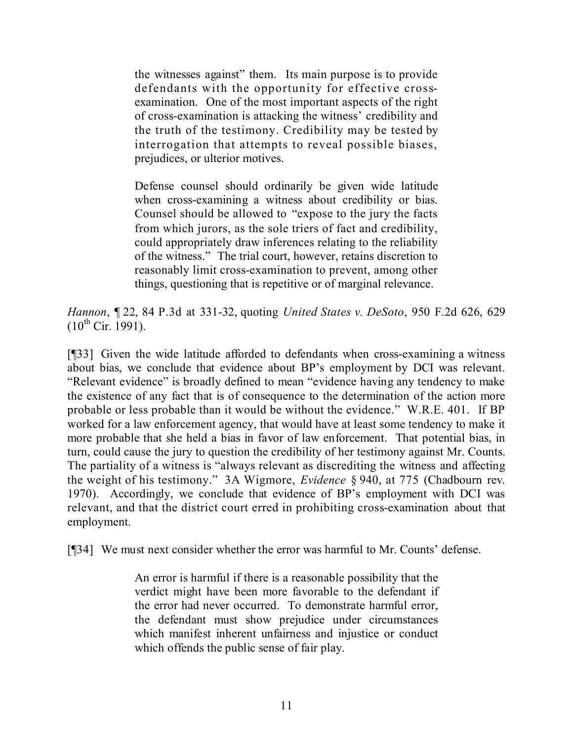the witnesses against" them. Its main purpose is to provide defendants with the opportunity for effective crossexamination. One of the most important aspects of the right of cross-examination is attacking the witness' credibility and the truth of the testimony. Credibility may be tested by interrogation that attempts to reveal possible biases, prejudices, or ulterior motives.

Defense counsel should ordinarily be given wide latitude when cross-examining a witness about credibility or bias. Counsel should be allowed to "expose to the jury the facts from which jurors, as the sole triers of fact and credibility, could appropriately draw inferences relating to the reliability of the witness." The trial court, however, retains discretion to reasonably limit cross-examination to prevent, among other things, questioning that is repetitive or of marginal relevance.

*Hannon*, ¶ 22, 84 P.3d at 331-32, quoting *United States v. DeSoto*, 950 F.2d 626, 629  $(10^{th}$  Cir. 1991).

[¶33] Given the wide latitude afforded to defendants when cross-examining a witness about bias, we conclude that evidence about BP's employment by DCI was relevant. "Relevant evidence" is broadly defined to mean "evidence having any tendency to make the existence of any fact that is of consequence to the determination of the action more probable or less probable than it would be without the evidence." W.R.E. 401. If BP worked for a law enforcement agency, that would have at least some tendency to make it more probable that she held a bias in favor of law enforcement. That potential bias, in turn, could cause the jury to question the credibility of her testimony against Mr. Counts. The partiality of a witness is "always relevant as discrediting the witness and affecting the weight of his testimony." 3A Wigmore, *Evidence* § 940, at 775 (Chadbourn rev. 1970). Accordingly, we conclude that evidence of BP's employment with DCI was relevant, and that the district court erred in prohibiting cross-examination about that employment.

[¶34] We must next consider whether the error was harmful to Mr. Counts' defense.

An error is harmful if there is a reasonable possibility that the verdict might have been more favorable to the defendant if the error had never occurred. To demonstrate harmful error, the defendant must show prejudice under circumstances which manifest inherent unfairness and injustice or conduct which offends the public sense of fair play.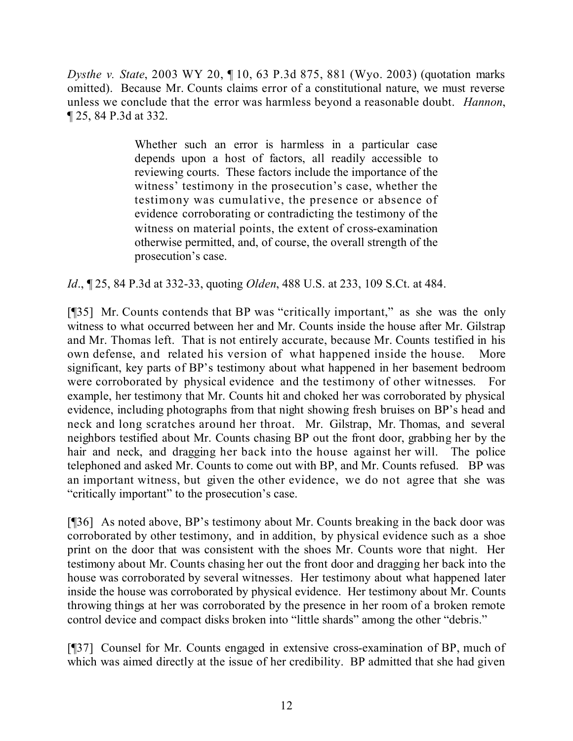*Dysthe v. State*, 2003 WY 20, ¶ 10, 63 P.3d 875, 881 (Wyo. 2003) (quotation marks omitted). Because Mr. Counts claims error of a constitutional nature, we must reverse unless we conclude that the error was harmless beyond a reasonable doubt. *Hannon*, ¶ 25, 84 P.3d at 332.

> Whether such an error is harmless in a particular case depends upon a host of factors, all readily accessible to reviewing courts. These factors include the importance of the witness' testimony in the prosecution's case, whether the testimony was cumulative, the presence or absence of evidence corroborating or contradicting the testimony of the witness on material points, the extent of cross-examination otherwise permitted, and, of course, the overall strength of the prosecution's case.

*Id*., ¶ 25, 84 P.3d at 332-33, quoting *Olden*, 488 U.S. at 233, 109 S.Ct. at 484.

[¶35] Mr. Counts contends that BP was "critically important," as she was the only witness to what occurred between her and Mr. Counts inside the house after Mr. Gilstrap and Mr. Thomas left. That is not entirely accurate, because Mr. Counts testified in his own defense, and related his version of what happened inside the house. More significant, key parts of BP's testimony about what happened in her basement bedroom were corroborated by physical evidence and the testimony of other witnesses. For example, her testimony that Mr. Counts hit and choked her was corroborated by physical evidence, including photographs from that night showing fresh bruises on BP's head and neck and long scratches around her throat. Mr. Gilstrap, Mr. Thomas, and several neighbors testified about Mr. Counts chasing BP out the front door, grabbing her by the hair and neck, and dragging her back into the house against her will. The police telephoned and asked Mr. Counts to come out with BP, and Mr. Counts refused. BP was an important witness, but given the other evidence, we do not agree that she was "critically important" to the prosecution's case.

[¶36] As noted above, BP's testimony about Mr. Counts breaking in the back door was corroborated by other testimony, and in addition, by physical evidence such as a shoe print on the door that was consistent with the shoes Mr. Counts wore that night. Her testimony about Mr. Counts chasing her out the front door and dragging her back into the house was corroborated by several witnesses. Her testimony about what happened later inside the house was corroborated by physical evidence. Her testimony about Mr. Counts throwing things at her was corroborated by the presence in her room of a broken remote control device and compact disks broken into "little shards" among the other "debris."

[¶37] Counsel for Mr. Counts engaged in extensive cross-examination of BP, much of which was aimed directly at the issue of her credibility. BP admitted that she had given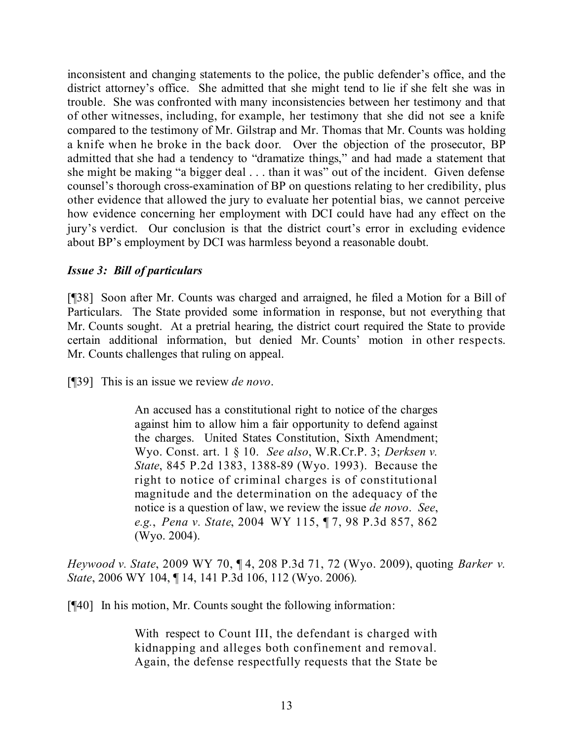inconsistent and changing statements to the police, the public defender's office, and the district attorney's office. She admitted that she might tend to lie if she felt she was in trouble. She was confronted with many inconsistencies between her testimony and that of other witnesses, including, for example, her testimony that she did not see a knife compared to the testimony of Mr. Gilstrap and Mr. Thomas that Mr. Counts was holding a knife when he broke in the back door. Over the objection of the prosecutor, BP admitted that she had a tendency to "dramatize things," and had made a statement that she might be making "a bigger deal . . . than it was" out of the incident. Given defense counsel's thorough cross-examination of BP on questions relating to her credibility, plus other evidence that allowed the jury to evaluate her potential bias, we cannot perceive how evidence concerning her employment with DCI could have had any effect on the jury's verdict. Our conclusion is that the district court's error in excluding evidence about BP's employment by DCI was harmless beyond a reasonable doubt.

### *Issue 3: Bill of particulars*

[¶38] Soon after Mr. Counts was charged and arraigned, he filed a Motion for a Bill of Particulars. The State provided some information in response, but not everything that Mr. Counts sought. At a pretrial hearing, the district court required the State to provide certain additional information, but denied Mr. Counts' motion in other respects. Mr. Counts challenges that ruling on appeal.

[¶39] This is an issue we review *de novo*.

An accused has a constitutional right to notice of the charges against him to allow him a fair opportunity to defend against the charges. United States Constitution, Sixth Amendment; Wyo. Const. art. 1 § 10. *See also*, W.R.Cr.P. 3; *Derksen v. State*, 845 P.2d 1383, 1388-89 (Wyo. 1993). Because the right to notice of criminal charges is of constitutional magnitude and the determination on the adequacy of the notice is a question of law, we review the issue *de novo*. *See*, *e.g.*, *Pena v. State*, 2004 WY 115, ¶ 7, 98 P.3d 857, 862 (Wyo. 2004).

*Heywood v. State*, 2009 WY 70, ¶ 4, 208 P.3d 71, 72 (Wyo. 2009), quoting *Barker v. State*, 2006 WY 104, ¶ 14, 141 P.3d 106, 112 (Wyo. 2006).

[¶40] In his motion, Mr. Counts sought the following information:

With respect to Count III, the defendant is charged with kidnapping and alleges both confinement and removal. Again, the defense respectfully requests that the State be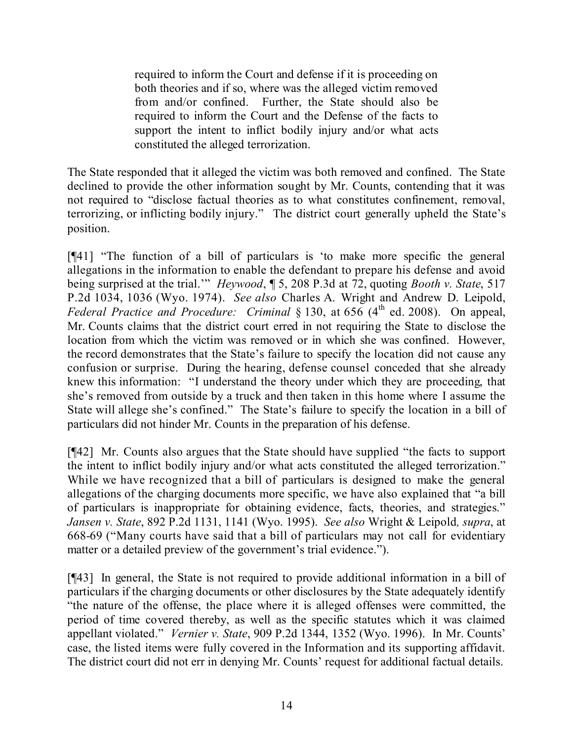required to inform the Court and defense if it is proceeding on both theories and if so, where was the alleged victim removed from and/or confined. Further, the State should also be required to inform the Court and the Defense of the facts to support the intent to inflict bodily injury and/or what acts constituted the alleged terrorization.

The State responded that it alleged the victim was both removed and confined. The State declined to provide the other information sought by Mr. Counts, contending that it was not required to "disclose factual theories as to what constitutes confinement, removal, terrorizing, or inflicting bodily injury." The district court generally upheld the State's position.

[¶41] "The function of a bill of particulars is 'to make more specific the general allegations in the information to enable the defendant to prepare his defense and avoid being surprised at the trial.'" *Heywood*, ¶ 5, 208 P.3d at 72, quoting *Booth v. State*, 517 P.2d 1034, 1036 (Wyo. 1974). *See also* Charles A. Wright and Andrew D. Leipold, *Federal Practice and Procedure: Criminal* § 130, at 656 (4<sup>th</sup> ed. 2008). On appeal, Mr. Counts claims that the district court erred in not requiring the State to disclose the location from which the victim was removed or in which she was confined. However, the record demonstrates that the State's failure to specify the location did not cause any confusion or surprise. During the hearing, defense counsel conceded that she already knew this information: "I understand the theory under which they are proceeding, that she's removed from outside by a truck and then taken in this home where I assume the State will allege she's confined." The State's failure to specify the location in a bill of particulars did not hinder Mr. Counts in the preparation of his defense.

[¶42] Mr. Counts also argues that the State should have supplied "the facts to support the intent to inflict bodily injury and/or what acts constituted the alleged terrorization." While we have recognized that a bill of particulars is designed to make the general allegations of the charging documents more specific, we have also explained that "a bill of particulars is inappropriate for obtaining evidence, facts, theories, and strategies." *Jansen v. State*, 892 P.2d 1131, 1141 (Wyo. 1995). *See also* Wright & Leipold*, supra*, at 668-69 ("Many courts have said that a bill of particulars may not call for evidentiary matter or a detailed preview of the government's trial evidence.").

[¶43] In general, the State is not required to provide additional information in a bill of particulars if the charging documents or other disclosures by the State adequately identify "the nature of the offense, the place where it is alleged offenses were committed, the period of time covered thereby, as well as the specific statutes which it was claimed appellant violated." *Vernier v. State*, 909 P.2d 1344, 1352 (Wyo. 1996). In Mr. Counts' case, the listed items were fully covered in the Information and its supporting affidavit. The district court did not err in denying Mr. Counts' request for additional factual details.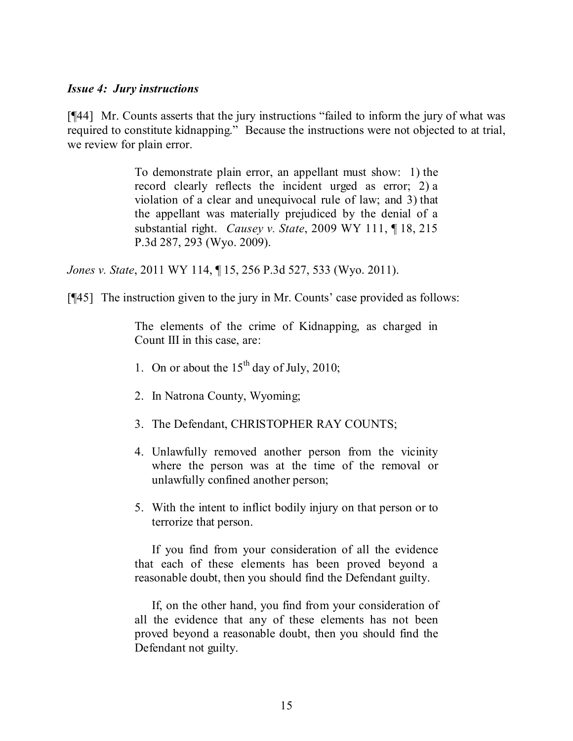#### *Issue 4: Jury instructions*

[¶44] Mr. Counts asserts that the jury instructions "failed to inform the jury of what was required to constitute kidnapping." Because the instructions were not objected to at trial, we review for plain error.

> To demonstrate plain error, an appellant must show: 1) the record clearly reflects the incident urged as error; 2) a violation of a clear and unequivocal rule of law; and 3) that the appellant was materially prejudiced by the denial of a substantial right. *Causey v. State*, 2009 WY 111, ¶ 18, 215 P.3d 287, 293 (Wyo. 2009).

*Jones v. State*, 2011 WY 114, ¶ 15, 256 P.3d 527, 533 (Wyo. 2011).

[¶45] The instruction given to the jury in Mr. Counts' case provided as follows:

The elements of the crime of Kidnapping, as charged in Count III in this case, are:

- 1. On or about the  $15<sup>th</sup>$  day of July, 2010;
- 2. In Natrona County, Wyoming;
- 3. The Defendant, CHRISTOPHER RAY COUNTS;
- 4. Unlawfully removed another person from the vicinity where the person was at the time of the removal or unlawfully confined another person;
- 5. With the intent to inflict bodily injury on that person or to terrorize that person.

If you find from your consideration of all the evidence that each of these elements has been proved beyond a reasonable doubt, then you should find the Defendant guilty.

If, on the other hand, you find from your consideration of all the evidence that any of these elements has not been proved beyond a reasonable doubt, then you should find the Defendant not guilty.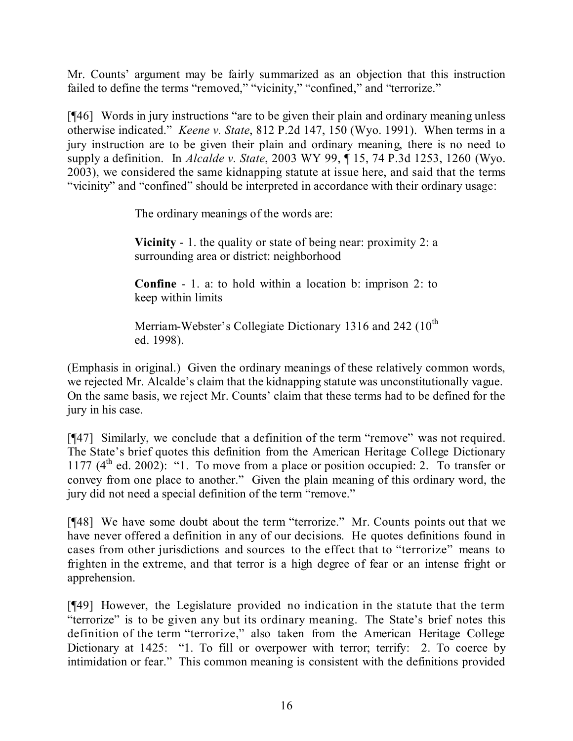Mr. Counts' argument may be fairly summarized as an objection that this instruction failed to define the terms "removed," "vicinity," "confined," and "terrorize."

[¶46] Words in jury instructions "are to be given their plain and ordinary meaning unless otherwise indicated." *Keene v. State*, 812 P.2d 147, 150 (Wyo. 1991). When terms in a jury instruction are to be given their plain and ordinary meaning, there is no need to supply a definition. In *Alcalde v. State*, 2003 WY 99, ¶ 15, 74 P.3d 1253, 1260 (Wyo. 2003), we considered the same kidnapping statute at issue here, and said that the terms "vicinity" and "confined" should be interpreted in accordance with their ordinary usage:

The ordinary meanings of the words are:

**Vicinity** - 1. the quality or state of being near: proximity 2: a surrounding area or district: neighborhood

**Confine** - 1. a: to hold within a location b: imprison 2: to keep within limits

Merriam-Webster's Collegiate Dictionary 1316 and 242  $(10^{th}$ ed. 1998).

(Emphasis in original.) Given the ordinary meanings of these relatively common words, we rejected Mr. Alcalde's claim that the kidnapping statute was unconstitutionally vague. On the same basis, we reject Mr. Counts' claim that these terms had to be defined for the jury in his case.

[¶47] Similarly, we conclude that a definition of the term "remove" was not required. The State's brief quotes this definition from the American Heritage College Dictionary 1177 (4<sup>th</sup> ed. 2002): "1. To move from a place or position occupied: 2. To transfer or convey from one place to another." Given the plain meaning of this ordinary word, the jury did not need a special definition of the term "remove."

[¶48] We have some doubt about the term "terrorize." Mr. Counts points out that we have never offered a definition in any of our decisions. He quotes definitions found in cases from other jurisdictions and sources to the effect that to "terrorize" means to frighten in the extreme, and that terror is a high degree of fear or an intense fright or apprehension.

[¶49] However, the Legislature provided no indication in the statute that the term "terrorize" is to be given any but its ordinary meaning. The State's brief notes this definition of the term "terrorize," also taken from the American Heritage College Dictionary at 1425: "1. To fill or overpower with terror; terrify: 2. To coerce by intimidation or fear." This common meaning is consistent with the definitions provided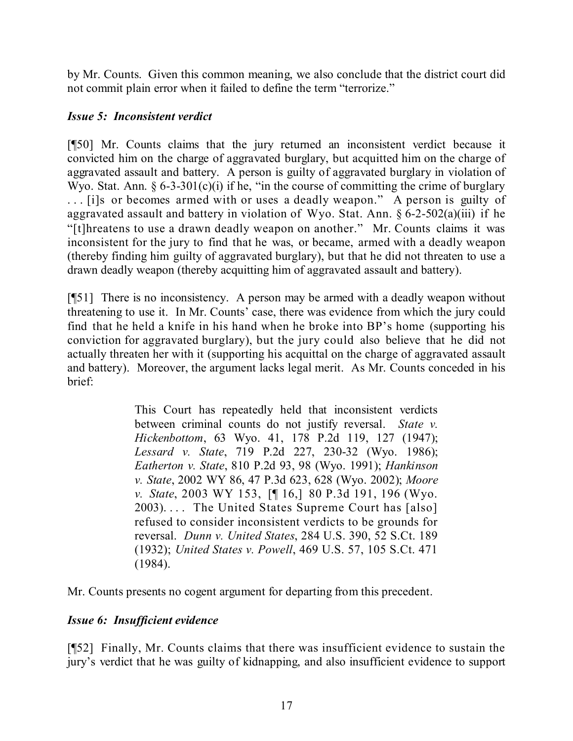by Mr. Counts. Given this common meaning, we also conclude that the district court did not commit plain error when it failed to define the term "terrorize."

## *Issue 5: Inconsistent verdict*

[¶50] Mr. Counts claims that the jury returned an inconsistent verdict because it convicted him on the charge of aggravated burglary, but acquitted him on the charge of aggravated assault and battery. A person is guilty of aggravated burglary in violation of Wyo. Stat. Ann.  $\S 6-3-301(c)(i)$  if he, "in the course of committing the crime of burglary . . . [i]s or becomes armed with or uses a deadly weapon." A person is guilty of aggravated assault and battery in violation of Wyo. Stat. Ann.  $\S 6$ -2-502(a)(iii) if he "[t]hreatens to use a drawn deadly weapon on another." Mr. Counts claims it was inconsistent for the jury to find that he was, or became, armed with a deadly weapon (thereby finding him guilty of aggravated burglary), but that he did not threaten to use a drawn deadly weapon (thereby acquitting him of aggravated assault and battery).

[¶51] There is no inconsistency. A person may be armed with a deadly weapon without threatening to use it. In Mr. Counts' case, there was evidence from which the jury could find that he held a knife in his hand when he broke into BP's home (supporting his conviction for aggravated burglary), but the jury could also believe that he did not actually threaten her with it (supporting his acquittal on the charge of aggravated assault and battery). Moreover, the argument lacks legal merit. As Mr. Counts conceded in his brief:

> This Court has repeatedly held that inconsistent verdicts between criminal counts do not justify reversal. *State v. Hickenbottom*, 63 Wyo. 41, 178 P.2d 119, 127 (1947); *Lessard v. State*, 719 P.2d 227, 230-32 (Wyo. 1986); *Eatherton v. State*, 810 P.2d 93, 98 (Wyo. 1991); *Hankinson v. State*, 2002 WY 86, 47 P.3d 623, 628 (Wyo. 2002); *Moore v. State*, 2003 WY 153, [¶ 16,] 80 P.3d 191, 196 (Wyo. 2003).... The United States Supreme Court has [also] refused to consider inconsistent verdicts to be grounds for reversal. *Dunn v. United States*, 284 U.S. 390, 52 S.Ct. 189 (1932); *United States v. Powell*, 469 U.S. 57, 105 S.Ct. 471 (1984).

Mr. Counts presents no cogent argument for departing from this precedent.

# *Issue 6: Insufficient evidence*

[¶52] Finally, Mr. Counts claims that there was insufficient evidence to sustain the jury's verdict that he was guilty of kidnapping, and also insufficient evidence to support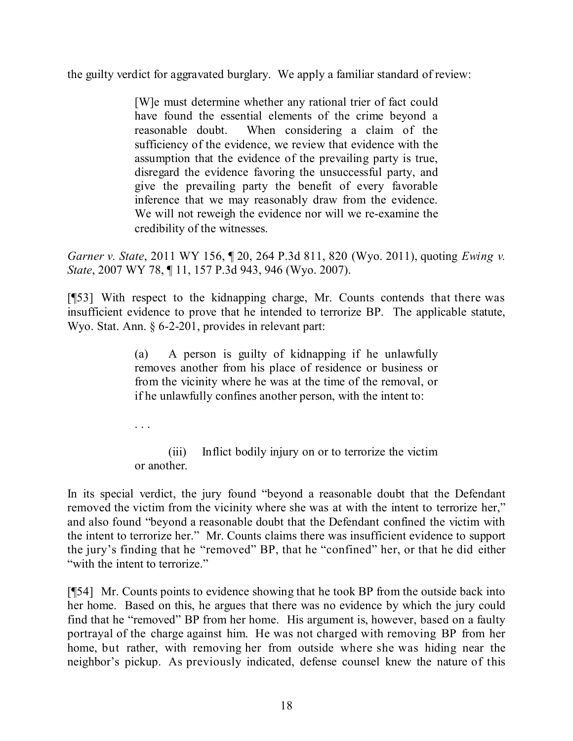the guilty verdict for aggravated burglary. We apply a familiar standard of review:

[W]e must determine whether any rational trier of fact could have found the essential elements of the crime beyond a reasonable doubt. When considering a claim of the sufficiency of the evidence, we review that evidence with the assumption that the evidence of the prevailing party is true, disregard the evidence favoring the unsuccessful party, and give the prevailing party the benefit of every favorable inference that we may reasonably draw from the evidence. We will not reweigh the evidence nor will we re-examine the credibility of the witnesses.

*Garner v. State*, 2011 WY 156, ¶ 20, 264 P.3d 811, 820 (Wyo. 2011), quoting *Ewing v. State*, 2007 WY 78, ¶ 11, 157 P.3d 943, 946 (Wyo. 2007).

[¶53] With respect to the kidnapping charge, Mr. Counts contends that there was insufficient evidence to prove that he intended to terrorize BP. The applicable statute, Wyo. Stat. Ann. § 6-2-201, provides in relevant part:

> (a) A person is guilty of kidnapping if he unlawfully removes another from his place of residence or business or from the vicinity where he was at the time of the removal, or if he unlawfully confines another person, with the intent to:

. . .

(iii) Inflict bodily injury on or to terrorize the victim or another.

In its special verdict, the jury found "beyond a reasonable doubt that the Defendant removed the victim from the vicinity where she was at with the intent to terrorize her," and also found "beyond a reasonable doubt that the Defendant confined the victim with the intent to terrorize her." Mr. Counts claims there was insufficient evidence to support the jury's finding that he "removed" BP, that he "confined" her, or that he did either "with the intent to terrorize."

[¶54] Mr. Counts points to evidence showing that he took BP from the outside back into her home. Based on this, he argues that there was no evidence by which the jury could find that he "removed" BP from her home. His argument is, however, based on a faulty portrayal of the charge against him. He was not charged with removing BP from her home, but rather, with removing her from outside where she was hiding near the neighbor's pickup. As previously indicated, defense counsel knew the nature of this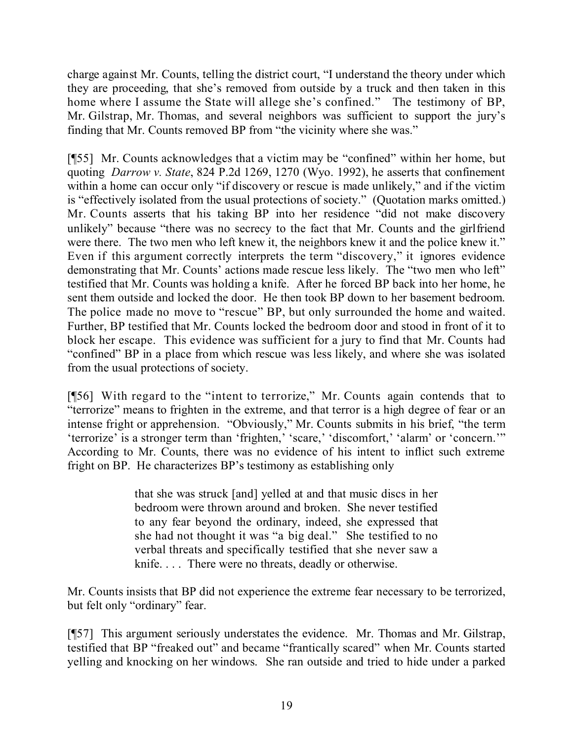charge against Mr. Counts, telling the district court, "I understand the theory under which they are proceeding, that she's removed from outside by a truck and then taken in this home where I assume the State will allege she's confined." The testimony of BP, Mr. Gilstrap, Mr. Thomas, and several neighbors was sufficient to support the jury's finding that Mr. Counts removed BP from "the vicinity where she was."

[¶55] Mr. Counts acknowledges that a victim may be "confined" within her home, but quoting *Darrow v. State*, 824 P.2d 1269, 1270 (Wyo. 1992), he asserts that confinement within a home can occur only "if discovery or rescue is made unlikely," and if the victim is "effectively isolated from the usual protections of society." (Quotation marks omitted.) Mr. Counts asserts that his taking BP into her residence "did not make discovery unlikely" because "there was no secrecy to the fact that Mr. Counts and the girlfriend were there. The two men who left knew it, the neighbors knew it and the police knew it." Even if this argument correctly interprets the term "discovery," it ignores evidence demonstrating that Mr. Counts' actions made rescue less likely. The "two men who left" testified that Mr. Counts was holding a knife. After he forced BP back into her home, he sent them outside and locked the door. He then took BP down to her basement bedroom. The police made no move to "rescue" BP, but only surrounded the home and waited. Further, BP testified that Mr. Counts locked the bedroom door and stood in front of it to block her escape. This evidence was sufficient for a jury to find that Mr. Counts had "confined" BP in a place from which rescue was less likely, and where she was isolated from the usual protections of society.

[¶56] With regard to the "intent to terrorize," Mr. Counts again contends that to "terrorize" means to frighten in the extreme, and that terror is a high degree of fear or an intense fright or apprehension. "Obviously," Mr. Counts submits in his brief, "the term 'terrorize' is a stronger term than 'frighten,' 'scare,' 'discomfort,' 'alarm' or 'concern.'" According to Mr. Counts, there was no evidence of his intent to inflict such extreme fright on BP. He characterizes BP's testimony as establishing only

> that she was struck [and] yelled at and that music discs in her bedroom were thrown around and broken. She never testified to any fear beyond the ordinary, indeed, she expressed that she had not thought it was "a big deal." She testified to no verbal threats and specifically testified that she never saw a knife. . . . There were no threats, deadly or otherwise.

Mr. Counts insists that BP did not experience the extreme fear necessary to be terrorized, but felt only "ordinary" fear.

[¶57] This argument seriously understates the evidence. Mr. Thomas and Mr. Gilstrap, testified that BP "freaked out" and became "frantically scared" when Mr. Counts started yelling and knocking on her windows. She ran outside and tried to hide under a parked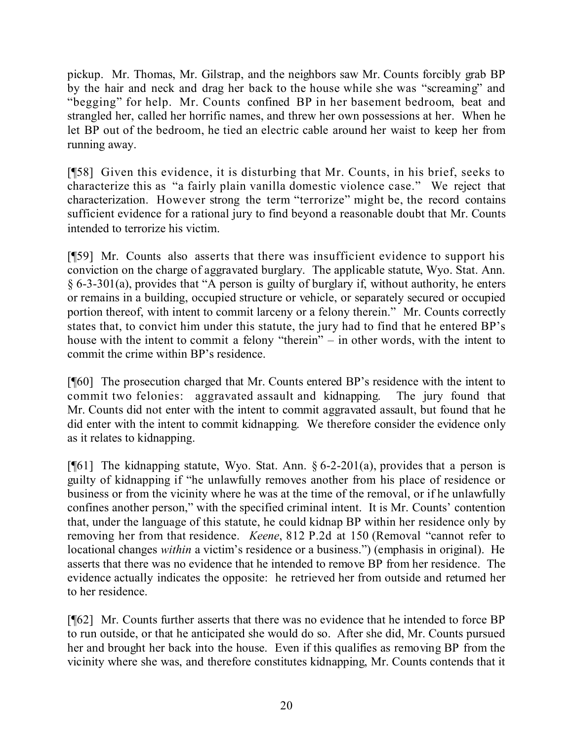pickup. Mr. Thomas, Mr. Gilstrap, and the neighbors saw Mr. Counts forcibly grab BP by the hair and neck and drag her back to the house while she was "screaming" and "begging" for help. Mr. Counts confined BP in her basement bedroom, beat and strangled her, called her horrific names, and threw her own possessions at her. When he let BP out of the bedroom, he tied an electric cable around her waist to keep her from running away.

[¶58] Given this evidence, it is disturbing that Mr. Counts, in his brief, seeks to characterize this as "a fairly plain vanilla domestic violence case." We reject that characterization. However strong the term "terrorize" might be, the record contains sufficient evidence for a rational jury to find beyond a reasonable doubt that Mr. Counts intended to terrorize his victim.

[¶59] Mr. Counts also asserts that there was insufficient evidence to support his conviction on the charge of aggravated burglary. The applicable statute, Wyo. Stat. Ann. § 6-3-301(a), provides that "A person is guilty of burglary if, without authority, he enters or remains in a building, occupied structure or vehicle, or separately secured or occupied portion thereof, with intent to commit larceny or a felony therein." Mr. Counts correctly states that, to convict him under this statute, the jury had to find that he entered BP's house with the intent to commit a felony "therein" – in other words, with the intent to commit the crime within BP's residence.

[¶60] The prosecution charged that Mr. Counts entered BP's residence with the intent to commit two felonies: aggravated assault and kidnapping. The jury found that Mr. Counts did not enter with the intent to commit aggravated assault, but found that he did enter with the intent to commit kidnapping. We therefore consider the evidence only as it relates to kidnapping.

[ $[$ [61] The kidnapping statute, Wyo. Stat. Ann. § 6-2-201(a), provides that a person is guilty of kidnapping if "he unlawfully removes another from his place of residence or business or from the vicinity where he was at the time of the removal, or if he unlawfully confines another person," with the specified criminal intent. It is Mr. Counts' contention that, under the language of this statute, he could kidnap BP within her residence only by removing her from that residence. *Keene*, 812 P.2d at 150 (Removal "cannot refer to locational changes *within* a victim's residence or a business.") (emphasis in original). He asserts that there was no evidence that he intended to remove BP from her residence. The evidence actually indicates the opposite: he retrieved her from outside and returned her to her residence.

[¶62] Mr. Counts further asserts that there was no evidence that he intended to force BP to run outside, or that he anticipated she would do so. After she did, Mr. Counts pursued her and brought her back into the house. Even if this qualifies as removing BP from the vicinity where she was, and therefore constitutes kidnapping, Mr. Counts contends that it